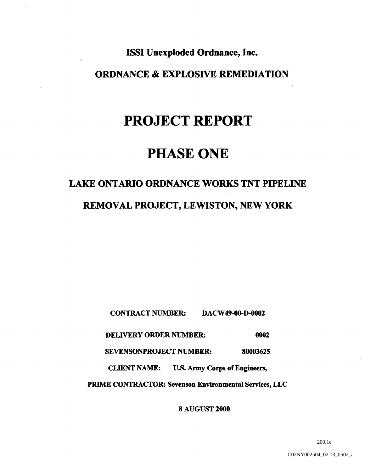## ISSI Unexploded Ordnance, Inc.

## ORDNANCE & EXPLOSIVE REMEDIATION

# PROJECT REPORT

# PHASE ONE

# LAKE ONTARIO ORDNANCE WORKS TNT PIPELINE REMOVAL PROJECT, LEWISTON, NEW YORK

CONTRACT NUMBER: DACW49-00-D-0002

DELIVERY ORDER NUMBER: 0002

SEVENSONPROJECT NUMBER: 80003625

CLIENT NAME: U.S. Army Corps of Engineers,

PRIME CONTRACTOR: Sevenson Environmental Services, LLC

AUGUST 2000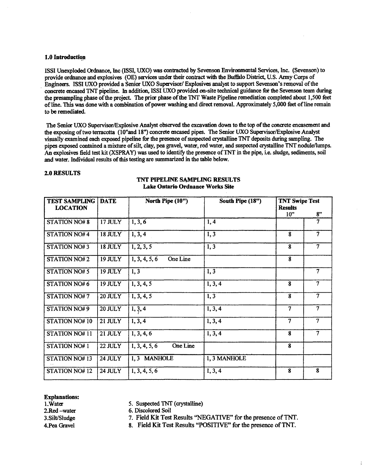#### 1.0 Introducti

ISSI Unexploded Ordnance, Inc (ISSI, UXO) was contracted by Sevenson Environmental Services, Inc. (Sevenson) to provide ordnance and explosives (OE) services under their contract with the Buffalo District, U.S. Army Corps of Engineers. ISSI UXO provided a Senior UXO Supervisor/ Explosives analyst to support Sevenson's removal of the concrete encased TNT pipeline. In addition, ISSI UXO provided on-site technical guidance for the Sevenson team during the presampling phase of the project. The prior phase of the TNT Waste Pipeline remediation completed about 1,500 feet of line. This was done with a combination of power washing and direct removal. Approximately 5,000 feet of line remain to be remediated

The Senior UXO Supervisor/Explosive Analyst observed the excavation down to the top of the concrete encasement and the exposing of two terracotta (10"and 18") concrete encased pipes. The Senior UXO Supervisor/Explosive Analyst visually examined each exposed pipeline for the presence of suspected crystalline TNT deposits during sampling. The pipes exposed contained a mixture of silt, clay, pea gravel, water, red water, and suspected crystalline TNT nodule/lumps. An explosives field test kit (XSPRAY) was used to identify the presence of TNT in the pipe, i.e. sludge, sediments, soil and water. Individual results of this testing are summarized in the table below.

#### 2.0 RESULTS

| <b>TEST SAMPLING</b><br><b>LOCATION</b> | <b>DATE</b>    | North Pipe (10")          | South Pipe (18") | <b>TNT Swipe Test</b><br><b>Results</b> |                |
|-----------------------------------------|----------------|---------------------------|------------------|-----------------------------------------|----------------|
|                                         |                |                           |                  | 10 <sup>2</sup>                         | 8"             |
| <b>STATION NO#8</b>                     | <b>17 JULY</b> | 1, 3, 6                   | 1, 4             |                                         | 7              |
| STATION NO#4                            | <b>18 JULY</b> | 1, 3, 4                   | 1, 3             | 8                                       | 7              |
| STATION NO#3                            | <b>18 JULY</b> | 1, 2, 3, 5                | 1, 3             | 8                                       | $\tau$         |
| STATION NO#2                            | <b>19 JULY</b> | One Line<br>1, 3, 4, 5, 6 |                  | 8                                       |                |
| <b>STATION NO#5</b>                     | <b>19 JULY</b> | 1, 3                      | 1, 3             |                                         | 7              |
| <b>STATION NO#6</b>                     | <b>19 JULY</b> | 1, 3, 4, 5                | 1, 3, 4          | 8                                       | 7              |
| STATION NO#7                            | $20$ JULY      | 1, 3, 4, 5                | $\overline{1,3}$ | $\overline{8}$                          | $\overline{7}$ |
| STATION NO#9                            | <b>20 JULY</b> | 1, 3, 4                   | 1, 3, 4          | $\overline{7}$                          |                |
| STATION NO# 10                          | <b>21 JULY</b> | 1, 3, 4                   | 1, 3, 4          | $\overline{\tau}$                       | 7              |
| STATION NO#11                           | 21 JULY        | 1, 3, 4, 6                | 1, 3, 4          | $\overline{\mathbf{8}}$                 | $\overline{7}$ |
| <b>STATION NO#1</b>                     | 22 JULY        | One Line<br>1, 3, 4, 5, 6 |                  | 8                                       |                |
| STATION NO#13                           | 24 JULY        | 1.3 MANHOLE               | 1, 3 MANHOLE     |                                         |                |
| <b>STATION NO#12</b>                    | 24 JULY        | 1, 3, 4, 5, 6             | 1, 3, 4          | 8                                       | 8              |

#### TNT PIPELINE SAMPLING RESULTS Lake Ontario Ordnance Works Site

## **Explanations:**<br>1. Water

5. Suspected TNT (crystalline)

2.Red -water 6. Discolored Soil

3. Silt/Sludge 7. Field Kit Test Results "NEGATIVE" for the presence of TNT.

4. Pea Gravel 8. Field Kit Test Results "POSITIVE" for the presence of TNT.